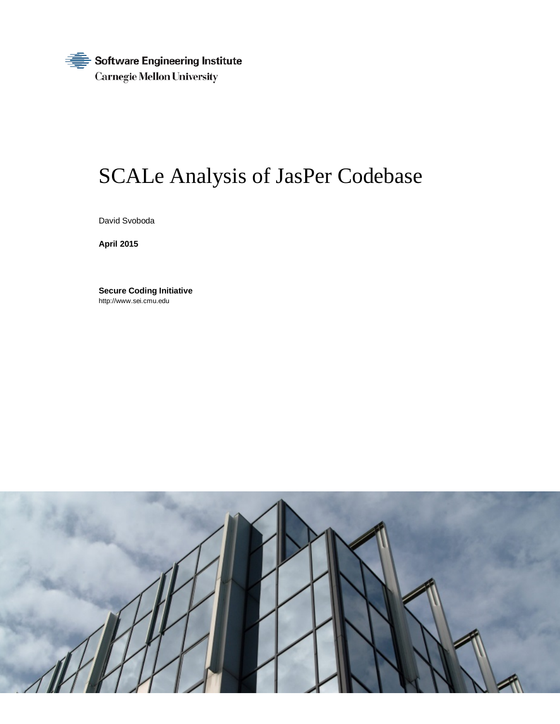Software Engineering Institute € **Carnegie Mellon University** 

# SCALe Analysis of JasPer Codebase

David Svoboda

**April 2015**

**Secure Coding Initiative** http://www.sei.cmu.edu

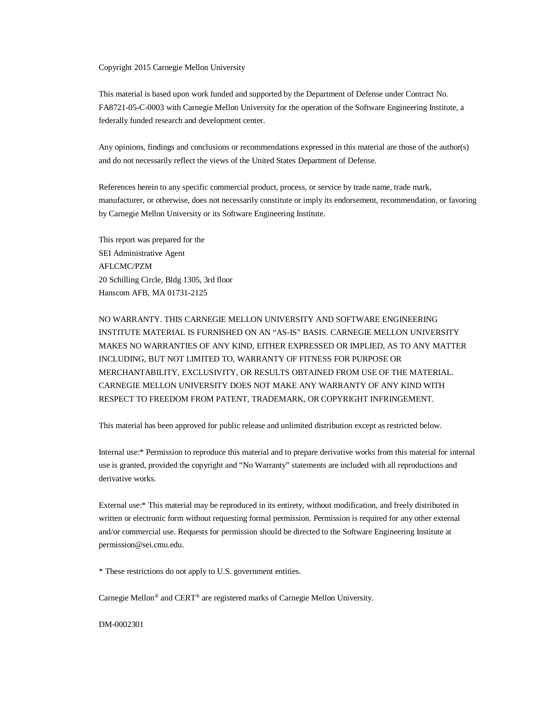#### Copyright 2015 Carnegie Mellon University

This material is based upon work funded and supported by the Department of Defense under Contract No. FA8721-05-C-0003 with Carnegie Mellon University for the operation of the Software Engineering Institute, a federally funded research and development center.

Any opinions, findings and conclusions or recommendations expressed in this material are those of the author(s) and do not necessarily reflect the views of the United States Department of Defense.

References herein to any specific commercial product, process, or service by trade name, trade mark, manufacturer, or otherwise, does not necessarily constitute or imply its endorsement, recommendation, or favoring by Carnegie Mellon University or its Software Engineering Institute.

This report was prepared for the SEI Administrative Agent AFLCMC/PZM 20 Schilling Circle, Bldg 1305, 3rd floor Hanscom AFB, MA 01731-2125

NO WARRANTY. THIS CARNEGIE MELLON UNIVERSITY AND SOFTWARE ENGINEERING INSTITUTE MATERIAL IS FURNISHED ON AN "AS-IS" BASIS. CARNEGIE MELLON UNIVERSITY MAKES NO WARRANTIES OF ANY KIND, EITHER EXPRESSED OR IMPLIED, AS TO ANY MATTER INCLUDING, BUT NOT LIMITED TO, WARRANTY OF FITNESS FOR PURPOSE OR MERCHANTABILITY, EXCLUSIVITY, OR RESULTS OBTAINED FROM USE OF THE MATERIAL. CARNEGIE MELLON UNIVERSITY DOES NOT MAKE ANY WARRANTY OF ANY KIND WITH RESPECT TO FREEDOM FROM PATENT, TRADEMARK, OR COPYRIGHT INFRINGEMENT.

This material has been approved for public release and unlimited distribution except as restricted below.

Internal use:\* Permission to reproduce this material and to prepare derivative works from this material for internal use is granted, provided the copyright and "No Warranty" statements are included with all reproductions and derivative works.

External use:\* This material may be reproduced in its entirety, without modification, and freely distributed in written or electronic form without requesting formal permission. Permission is required for any other external and/or commercial use. Requests for permission should be directed to the Software Engineering Institute at permission@sei.cmu.edu.

\* These restrictions do not apply to U.S. government entities.

Carnegie Mellon® and CERT® are registered marks of Carnegie Mellon University.

DM-0002301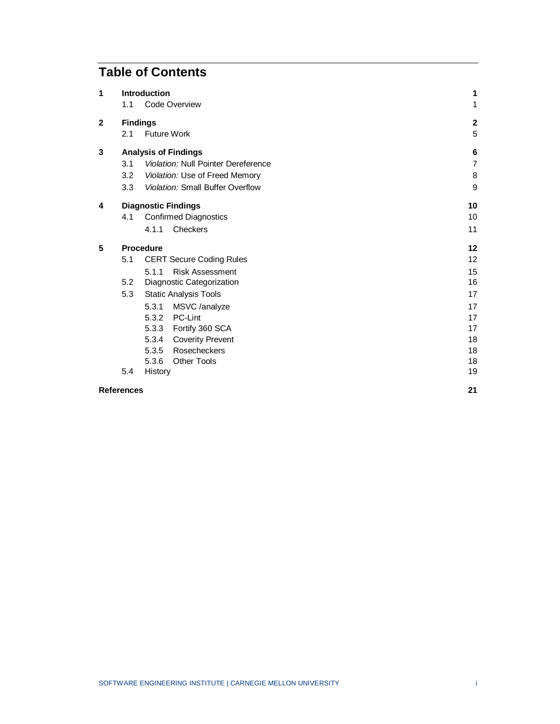# **Table of Contents**

| 1                 |     | Introduction                            | 1                |
|-------------------|-----|-----------------------------------------|------------------|
|                   | 1.1 | Code Overview                           | 1                |
| $\mathbf{2}$      |     | <b>Findings</b>                         | $\mathbf 2$      |
|                   | 2.1 | <b>Future Work</b>                      | 5                |
| 3                 |     | <b>Analysis of Findings</b>             | 6                |
|                   | 3.1 | Violation: Null Pointer Dereference     | $\overline{7}$   |
|                   | 3.2 | Violation: Use of Freed Memory          | 8                |
|                   | 3.3 | <b>Violation: Small Buffer Overflow</b> | $\boldsymbol{9}$ |
| 4                 |     | <b>Diagnostic Findings</b>              | 10               |
|                   | 4.1 | <b>Confirmed Diagnostics</b>            | 10               |
|                   |     | Checkers<br>4.1.1                       | 11               |
| 5                 |     | <b>Procedure</b>                        | 12               |
|                   | 5.1 | <b>CERT Secure Coding Rules</b>         | 12               |
|                   |     | 5.1.1<br><b>Risk Assessment</b>         | 15               |
|                   | 5.2 | Diagnostic Categorization               | 16               |
|                   | 5.3 | <b>Static Analysis Tools</b>            | 17               |
|                   |     | MSVC /analyze<br>5.3.1                  | 17               |
|                   |     | 5.3.2<br>PC-Lint                        | 17               |
|                   |     | Fortify 360 SCA<br>5.3.3                | 17               |
|                   |     | <b>Coverity Prevent</b><br>5.3.4        | 18               |
|                   |     | Rosecheckers<br>5.3.5                   | 18               |
|                   |     | 5.3.6<br><b>Other Tools</b>             | 18               |
|                   | 5.4 | History                                 | 19               |
| <b>References</b> |     |                                         | 21               |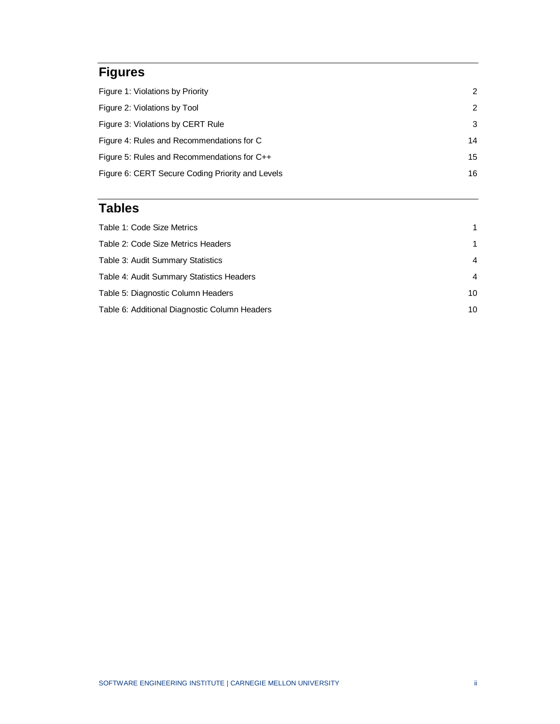# **Figures**

| Figure 1: Violations by Priority                 | 2             |
|--------------------------------------------------|---------------|
| Figure 2: Violations by Tool                     | $\mathcal{P}$ |
| Figure 3: Violations by CERT Rule                | 3             |
| Figure 4: Rules and Recommendations for C        | 14            |
| Figure 5: Rules and Recommendations for C++      | 15            |
| Figure 6: CERT Secure Coding Priority and Levels | 16            |

## **Tables**

| Table 1: Code Size Metrics                    | 1.             |
|-----------------------------------------------|----------------|
| Table 2: Code Size Metrics Headers            | 1.             |
| Table 3: Audit Summary Statistics             | $\overline{4}$ |
| Table 4: Audit Summary Statistics Headers     | $\overline{4}$ |
| Table 5: Diagnostic Column Headers            | 10             |
| Table 6: Additional Diagnostic Column Headers | 10             |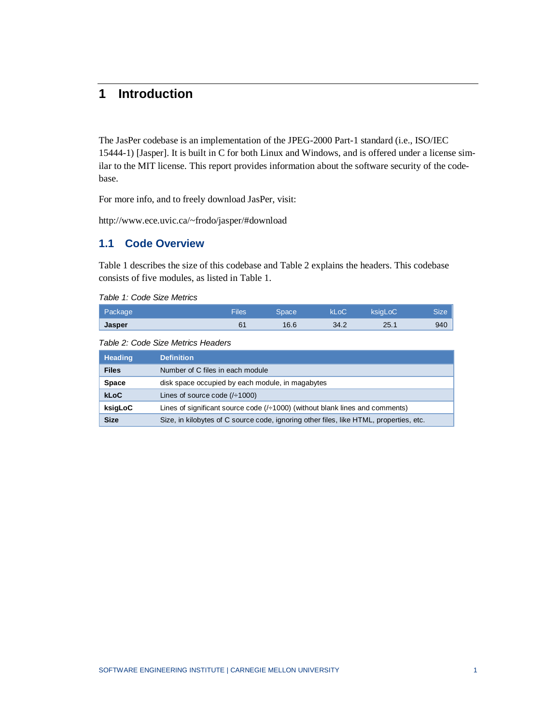### <span id="page-4-0"></span>**1 Introduction**

The JasPer codebase is an implementation of the JPEG-2000 Part-1 standard (i.e., ISO/IEC 15444-1) [Jasper]. It is built in C for both Linux and Windows, and is offered under a license similar to the MIT license. This report provides information about the software security of the codebase.

For more info, and to freely download JasPer, visit:

http://www.ece.uvic.ca/~frodo/jasper/#download

#### <span id="page-4-1"></span>**1.1 Code Overview**

[Table 1](#page-4-2) describes the size of this codebase and [Table 2](#page-4-3) explains the headers. This codebase consists of five modules, as listed in [Table 1.](#page-4-2)

<span id="page-4-2"></span>*Table 1: Code Size Metrics*

| Package       | <b>Files</b> | Space. | kLoC | ksigLoC | <b>Size</b> |
|---------------|--------------|--------|------|---------|-------------|
| <b>Jasper</b> | 61           | 16.6   | 34.2 | 25.1    | 940         |

<span id="page-4-3"></span>*Table 2: Code Size Metrics Headers*

| Heading      | <b>Definition</b>                                                                      |  |
|--------------|----------------------------------------------------------------------------------------|--|
| <b>Files</b> | Number of C files in each module                                                       |  |
| <b>Space</b> | disk space occupied by each module, in magabytes                                       |  |
| <b>kLoC</b>  | Lines of source code $(/-1000)$                                                        |  |
| ksigLoC      | Lines of significant source code $(/-1000)$ (without blank lines and comments)         |  |
| <b>Size</b>  | Size, in kilobytes of C source code, ignoring other files, like HTML, properties, etc. |  |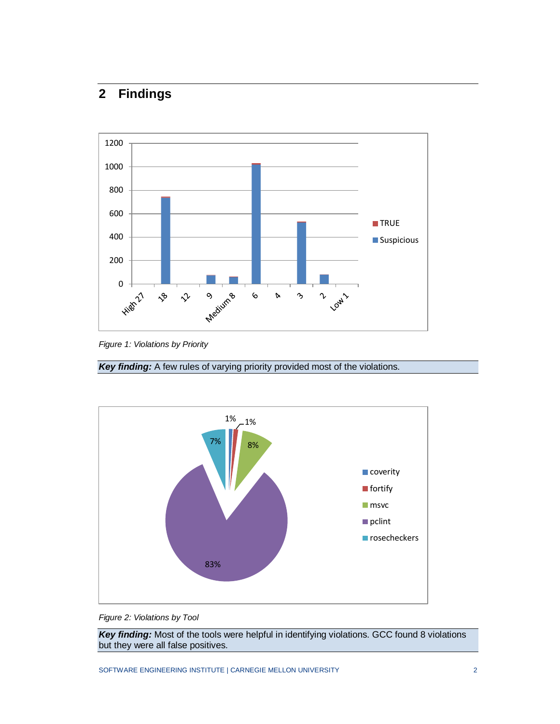## <span id="page-5-0"></span>**2 Findings**



<span id="page-5-1"></span>*Figure 1: Violations by Priority*

**Key finding:** A few rules of varying priority provided most of the violations.



<span id="page-5-2"></span>*Figure 2: Violations by Tool*

*Key finding:* Most of the tools were helpful in identifying violations. GCC found 8 violations but they were all false positives.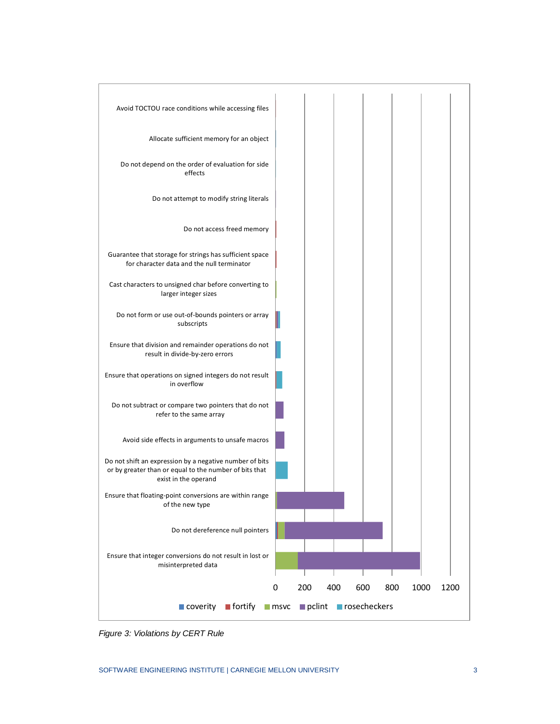

<span id="page-6-0"></span>*Figure 3: Violations by CERT Rule*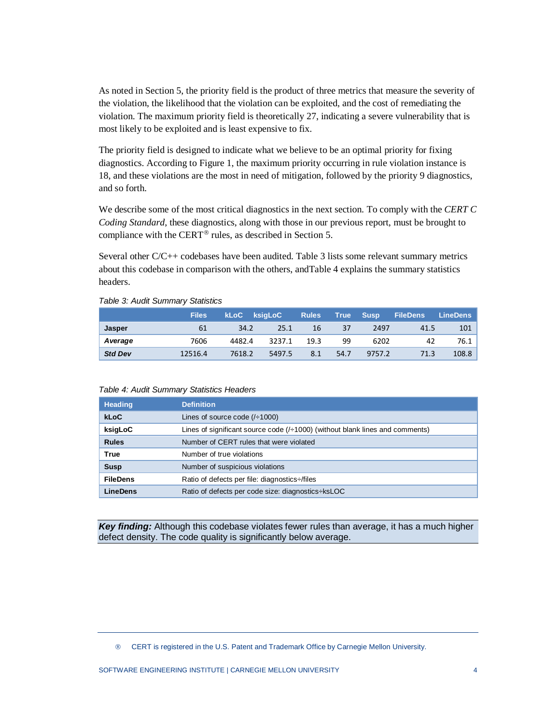As noted in Section 5, the priority field is the product of three metrics that measure the severity of the violation, the likelihood that the violation can be exploited, and the cost of remediating the violation. The maximum priority field is theoretically 27, indicating a severe vulnerability that is most likely to be exploited and is least expensive to fix.

The priority field is designed to indicate what we believe to be an optimal priority for fixing diagnostics. According to [Figure 1,](#page-5-1) the maximum priority occurring in rule violation instance is 18, and these violations are the most in need of mitigation, followed by the priority 9 diagnostics, and so forth.

We describe some of the most critical diagnostics in the next section. To comply with the *CERT C Coding Standard*, these diagnostics, along with those in our previous report, must be brought to compliance with the CERT<sup>®</sup> rules, as described in Section 5.

Several other C/C++ codebases have been audited. [Table 3](#page-7-0) lists some relevant summary metrics about this codebase in comparison with the others, an[dTable 4](#page-7-1) explains the summary statistics headers.

|                | <b>Files</b> | <b>kLoC</b> ksigLoC |        | <b>Rules</b> |      | True Susp | <b>FileDens</b> | LineDens |
|----------------|--------------|---------------------|--------|--------------|------|-----------|-----------------|----------|
| Jasper         | 61           | 34.2                | 25.1   | 16           | 37   | 2497      | 41.5            | 101      |
| Average        | 7606         | 4482.4              | 3237.1 | 19 3         | 99   | 6202      | 42              | 76.1 l   |
| <b>Std Dev</b> | 12516.4      | 7618.2              | 5497.5 | 8.1          | 54.7 | 9757.2    | 71.3            | 108.8    |

#### <span id="page-7-0"></span>*Table 3: Audit Summary Statistics*

#### <span id="page-7-1"></span>*Table 4: Audit Summary Statistics Headers*

| <b>Heading</b>  | <b>Definition</b>                                                              |
|-----------------|--------------------------------------------------------------------------------|
| <b>kLoC</b>     | Lines of source code $(/-1000)$                                                |
| ksigLoC         | Lines of significant source code $(/-1000)$ (without blank lines and comments) |
| <b>Rules</b>    | Number of CERT rules that were violated                                        |
| <b>True</b>     | Number of true violations                                                      |
| <b>Susp</b>     | Number of suspicious violations                                                |
| <b>FileDens</b> | Ratio of defects per file: diagnostics://files                                 |
| LineDens        | Ratio of defects per code size: diagnostics-ksLOC                              |

*Key finding:* Although this codebase violates fewer rules than average, it has a much higher defect density. The code quality is significantly below average.

<span id="page-7-2"></span>CERT is registered in the U.S. Patent and Trademark Office by Carnegie Mellon University.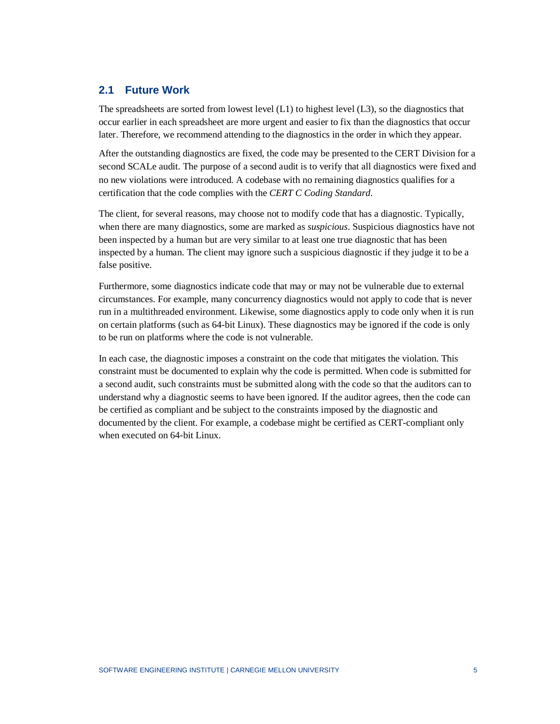#### <span id="page-8-0"></span>**2.1 Future Work**

The spreadsheets are sorted from lowest level  $(L1)$  to highest level  $(L3)$ , so the diagnostics that occur earlier in each spreadsheet are more urgent and easier to fix than the diagnostics that occur later. Therefore, we recommend attending to the diagnostics in the order in which they appear.

After the outstanding diagnostics are fixed, the code may be presented to the CERT Division for a second SCALe audit. The purpose of a second audit is to verify that all diagnostics were fixed and no new violations were introduced. A codebase with no remaining diagnostics qualifies for a certification that the code complies with the *CERT C Coding Standard*.

The client, for several reasons, may choose not to modify code that has a diagnostic. Typically, when there are many diagnostics, some are marked as *suspicious*. Suspicious diagnostics have not been inspected by a human but are very similar to at least one true diagnostic that has been inspected by a human. The client may ignore such a suspicious diagnostic if they judge it to be a false positive.

Furthermore, some diagnostics indicate code that may or may not be vulnerable due to external circumstances. For example, many concurrency diagnostics would not apply to code that is never run in a multithreaded environment. Likewise, some diagnostics apply to code only when it is run on certain platforms (such as 64-bit Linux). These diagnostics may be ignored if the code is only to be run on platforms where the code is not vulnerable.

In each case, the diagnostic imposes a constraint on the code that mitigates the violation. This constraint must be documented to explain why the code is permitted. When code is submitted for a second audit, such constraints must be submitted along with the code so that the auditors can to understand why a diagnostic seems to have been ignored. If the auditor agrees, then the code can be certified as compliant and be subject to the constraints imposed by the diagnostic and documented by the client. For example, a codebase might be certified as CERT-compliant only when executed on 64-bit Linux.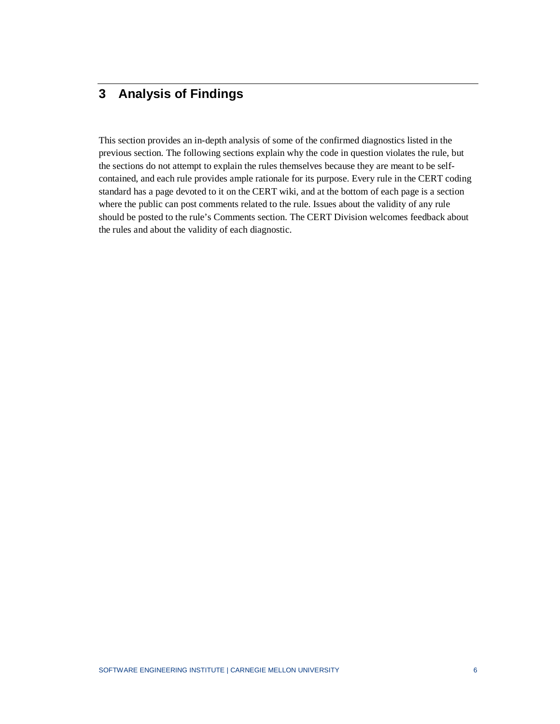### <span id="page-9-0"></span>**3 Analysis of Findings**

This section provides an in-depth analysis of some of the confirmed diagnostics listed in the previous section. The following sections explain why the code in question violates the rule, but the sections do not attempt to explain the rules themselves because they are meant to be selfcontained, and each rule provides ample rationale for its purpose. Every rule in the CERT coding standard has a page devoted to it on the CERT wiki, and at the bottom of each page is a section where the public can post comments related to the rule. Issues about the validity of any rule should be posted to the rule's Comments section. The CERT Division welcomes feedback about the rules and about the validity of each diagnostic.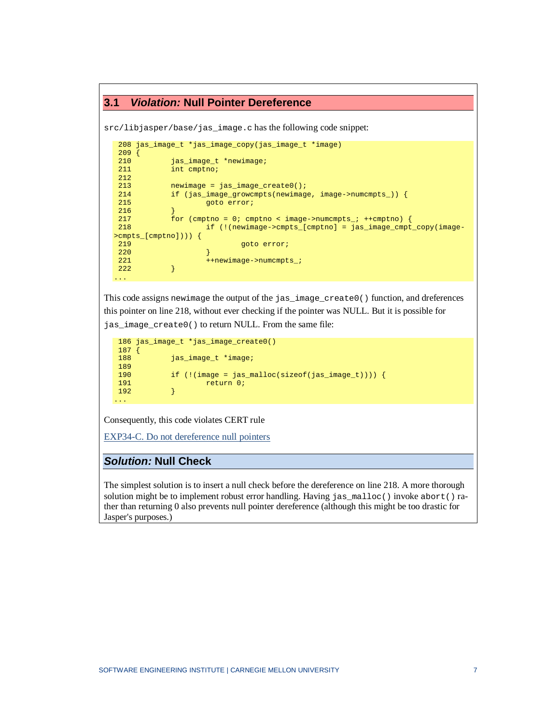```
3.1 Violation: Null Pointer Dereference
```
src/libjasper/base/jas\_image.c has the following code snippet:

```
208 jas_image_t *jas_image_copy(jas_image_t *image)
209 {<br>210
210 jas_image_t *newimage;<br>211 int cmptno;
               int cmptno;
\begin{array}{c} 212 \\ 213 \end{array}213 newimage = jas_image_create0();<br>214 if (jas image growcmpts(newimag
214 if (jas_image_growcmpts(newimage, image->numcmpts_)) {
                         goto error;
\frac{216}{217}217 for (cmptno = 0; cmptno < image->numcmpts_; ++cmptno) {<br>218 if (!(newimage->cmpts_[cmptno] = jas_image_cmpt
                         218 if (!(newimage->cmpts_[cmptno] = jas_image_cmpt_copy(image-
>cmpts_[cmptno]))) {
219 goto error;<br>220 b
 220 \qquad \qquad \}221 ++newimage->numcmpts_;<br>222 }
222 }
...
```
This code assigns newimage the output of the jas\_image\_create0() function, and dreferences this pointer on line 218, without ever checking if the pointer was NULL. But it is possible for jas\_image\_create0() to return NULL. From the same file:

```
186 jas_image_t *jas_image_create0()
\begin{matrix} 187 \\ 188 \end{matrix}jas_image_t *image;
189<br>190
190 if (!(image = jas_malloc(sizeof(jas_image_t)))) {
                191 return 0;<br>}
192 }
...
```
Consequently, this code violates CERT rule

[EXP34-C. Do not dereference null pointers](https://www.securecoding.cert.org/confluence/display/seccode/EXP34-C.+Do+not+dereference+null+pointers)

#### *Solution:* **Null Check**

The simplest solution is to insert a null check before the dereference on line 218. A more thorough solution might be to implement robust error handling. Having  $jas\_malloc()$  invoke abort() rather than returning 0 also prevents null pointer dereference (although this might be too drastic for Jasper's purposes.)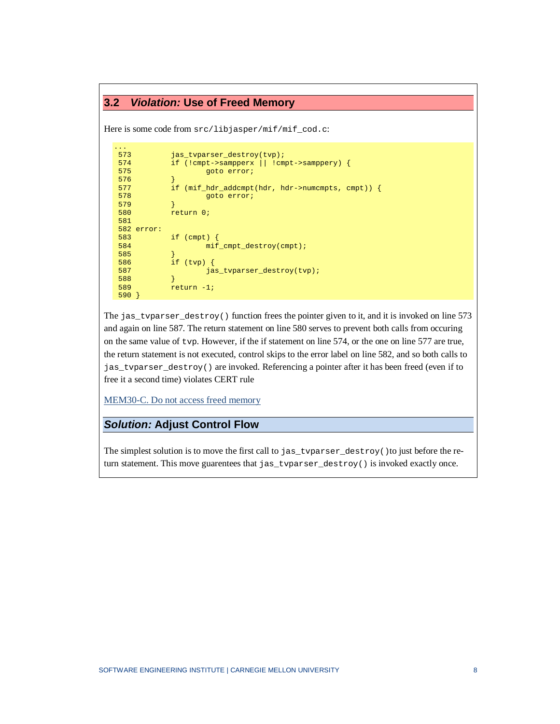#### <span id="page-11-0"></span>**3.2** *Violation:* **Use of Freed Memory**

Here is some code from  $src/libjasper/mif/mif\_cod.c$ :

```
573
573 jas_tvparser_destroy(tvp);<br>574 if (!cmpt->sampperx || !cm
574 if (!cmpt->sampperx || !cmpt->samppery) {
                    goto error;
576<br>577
577 if (mif_hdr_addcmpt(hdr, hdr->numcmpts, cmpt)) {
            goto error;<br>}
579 }
            return 0;
581 
582 error:
583 if (cmpt) {
                    584 mif_cmpt_destroy(cmpt);
585 }
586 if (tvp) {
            jas_tvparser_destroy(tvp);
588 }
            return -1;590 }
```
The jas\_tvparser\_destroy() function frees the pointer given to it, and it is invoked on line 573 and again on line 587. The return statement on line 580 serves to prevent both calls from occuring on the same value of tvp. However, if the if statement on line 574, or the one on line 577 are true, the return statement is not executed, control skips to the error label on line 582, and so both calls to jas\_tvparser\_destroy() are invoked. Referencing a pointer after it has been freed (even if to free it a second time) violates CERT rule

[MEM30-C. Do not access freed memory](https://www.securecoding.cert.org/confluence/display/seccode/MEM30-C.+Do+not+access+freed+memory)

#### *Solution:* **Adjust Control Flow**

The simplest solution is to move the first call to  $jas\_tvparser\_destroy$  () to just before the return statement. This move guarentees that jas\_tvparser\_destroy() is invoked exactly once.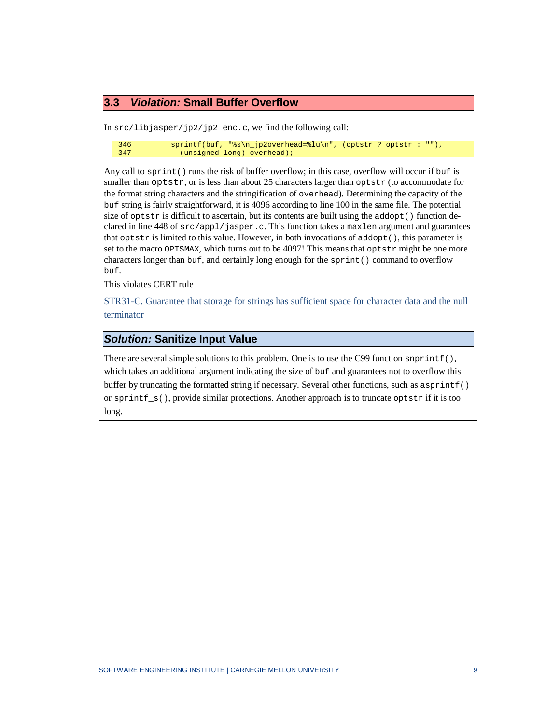#### <span id="page-12-0"></span>**3.3** *Violation:* **Small Buffer Overflow**

In src/libjasper/jp2/jp2\_enc.c, we find the following call:

```
346 sprintf(buf, "%s\n_jp2overhead=%lu\n", (optstr ? optstr : ""),<br>347 (unsigned long) overhead);
                  (unsigned long) overhead);
```
Any call to sprint() runs the risk of buffer overflow; in this case, overflow will occur if buf is smaller than optstr, or is less than about 25 characters larger than optstr (to accommodate for the format string characters and the stringification of overhead). Determining the capacity of the buf string is fairly straightforward, it is 4096 according to line 100 in the same file. The potential size of optstr is difficult to ascertain, but its contents are built using the addopt() function declared in line 448 of  $src/app1/jasper.c.$  This function takes a maxlen argument and guarantees that optstr is limited to this value. However, in both invocations of addopt(), this parameter is set to the macro OPTSMAX, which turns out to be 4097! This means that  $optstr$  might be one more characters longer than buf, and certainly long enough for the sprint() command to overflow buf.

This violates CERT rule

[STR31-C. Guarantee that storage for strings has sufficient space for character data and the null](https://www.securecoding.cert.org/confluence/display/seccode/STR31-C.+Guarantee+that+storage+for+strings+has+sufficient+space+for+character+data+and+the+null+terminator)  [terminator](https://www.securecoding.cert.org/confluence/display/seccode/STR31-C.+Guarantee+that+storage+for+strings+has+sufficient+space+for+character+data+and+the+null+terminator)

#### *Solution:* **Sanitize Input Value**

There are several simple solutions to this problem. One is to use the C99 function snprintf(), which takes an additional argument indicating the size of buf and guarantees not to overflow this buffer by truncating the formatted string if necessary. Several other functions, such as asprintf() or sprint  $f_s()$ , provide similar protections. Another approach is to truncate optstr if it is too long.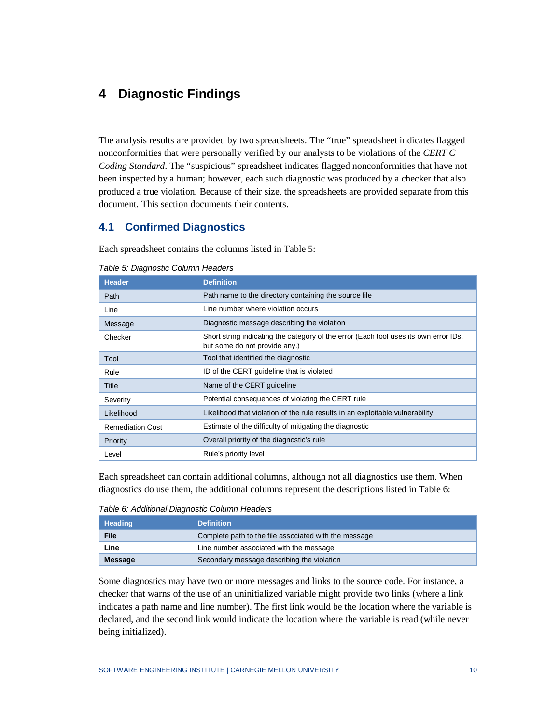# <span id="page-13-0"></span>**4 Diagnostic Findings**

The analysis results are provided by two spreadsheets. The "true" spreadsheet indicates flagged nonconformities that were personally verified by our analysts to be violations of the *CERT C Coding Standard*. The "suspicious" spreadsheet indicates flagged nonconformities that have not been inspected by a human; however, each such diagnostic was produced by a checker that also produced a true violation. Because of their size, the spreadsheets are provided separate from this document. This section documents their contents.

#### <span id="page-13-1"></span>**4.1 Confirmed Diagnostics**

Each spreadsheet contains the columns listed in [Table 5:](#page-13-2)

| <b>Header</b>           | <b>Definition</b>                                                                                                     |
|-------------------------|-----------------------------------------------------------------------------------------------------------------------|
| Path                    | Path name to the directory containing the source file                                                                 |
| Line                    | Line number where violation occurs                                                                                    |
| Message                 | Diagnostic message describing the violation                                                                           |
| Checker                 | Short string indicating the category of the error (Each tool uses its own error IDs,<br>but some do not provide any.) |
| Tool                    | Tool that identified the diagnostic                                                                                   |
| Rule                    | ID of the CERT guideline that is violated                                                                             |
| Title                   | Name of the CERT guideline                                                                                            |
| Severity                | Potential consequences of violating the CERT rule                                                                     |
| Likelihood              | Likelihood that violation of the rule results in an exploitable vulnerability                                         |
| <b>Remediation Cost</b> | Estimate of the difficulty of mitigating the diagnostic                                                               |
| Priority                | Overall priority of the diagnostic's rule                                                                             |
| Level                   | Rule's priority level                                                                                                 |

<span id="page-13-2"></span>*Table 5: Diagnostic Column Headers*

Each spreadsheet can contain additional columns, although not all diagnostics use them. When diagnostics do use them, the additional columns represent the descriptions listed in [Table 6:](#page-13-3)

<span id="page-13-3"></span>*Table 6: Additional Diagnostic Column Headers*

| <b>Heading</b> | <b>Definition</b>                                     |
|----------------|-------------------------------------------------------|
| <b>File</b>    | Complete path to the file associated with the message |
| Line           | Line number associated with the message               |
| Message        | Secondary message describing the violation            |

Some diagnostics may have two or more messages and links to the source code. For instance, a checker that warns of the use of an uninitialized variable might provide two links (where a link indicates a path name and line number). The first link would be the location where the variable is declared, and the second link would indicate the location where the variable is read (while never being initialized).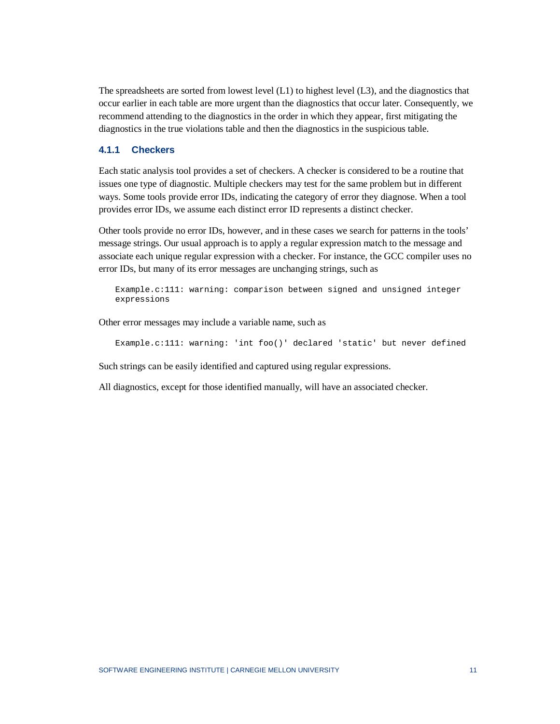The spreadsheets are sorted from lowest level (L1) to highest level (L3), and the diagnostics that occur earlier in each table are more urgent than the diagnostics that occur later. Consequently, we recommend attending to the diagnostics in the order in which they appear, first mitigating the diagnostics in the true violations table and then the diagnostics in the suspicious table.

#### <span id="page-14-0"></span>**4.1.1 Checkers**

Each static analysis tool provides a set of checkers. A checker is considered to be a routine that issues one type of diagnostic. Multiple checkers may test for the same problem but in different ways. Some tools provide error IDs, indicating the category of error they diagnose. When a tool provides error IDs, we assume each distinct error ID represents a distinct checker.

Other tools provide no error IDs, however, and in these cases we search for patterns in the tools' message strings. Our usual approach is to apply a regular expression match to the message and associate each unique regular expression with a checker. For instance, the GCC compiler uses no error IDs, but many of its error messages are unchanging strings, such as

Example.c:111: warning: comparison between signed and unsigned integer expressions

Other error messages may include a variable name, such as

Example.c:111: warning: 'int foo()' declared 'static' but never defined

Such strings can be easily identified and captured using regular expressions.

All diagnostics, except for those identified manually, will have an associated checker.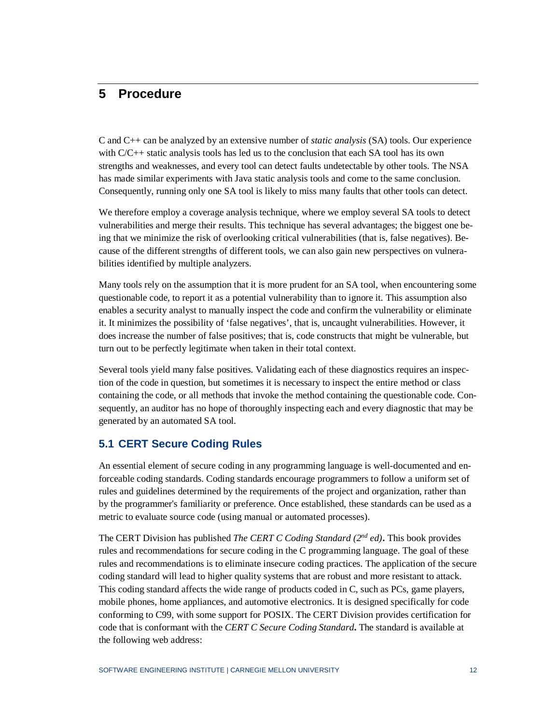### <span id="page-15-0"></span>**5 Procedure**

C and C++ can be analyzed by an extensive number of *static analysis* (SA) tools. Our experience with C/C++ static analysis tools has led us to the conclusion that each SA tool has its own strengths and weaknesses, and every tool can detect faults undetectable by other tools. The NSA has made similar experiments with Java static analysis tools and come to the same conclusion. Consequently, running only one SA tool is likely to miss many faults that other tools can detect.

We therefore employ a coverage analysis technique, where we employ several SA tools to detect vulnerabilities and merge their results. This technique has several advantages; the biggest one being that we minimize the risk of overlooking critical vulnerabilities (that is, false negatives). Because of the different strengths of different tools, we can also gain new perspectives on vulnerabilities identified by multiple analyzers.

Many tools rely on the assumption that it is more prudent for an SA tool, when encountering some questionable code, to report it as a potential vulnerability than to ignore it. This assumption also enables a security analyst to manually inspect the code and confirm the vulnerability or eliminate it. It minimizes the possibility of 'false negatives', that is, uncaught vulnerabilities. However, it does increase the number of false positives; that is, code constructs that might be vulnerable, but turn out to be perfectly legitimate when taken in their total context.

Several tools yield many false positives. Validating each of these diagnostics requires an inspection of the code in question, but sometimes it is necessary to inspect the entire method or class containing the code, or all methods that invoke the method containing the questionable code. Consequently, an auditor has no hope of thoroughly inspecting each and every diagnostic that may be generated by an automated SA tool.

#### <span id="page-15-1"></span>**5.1 CERT Secure Coding Rules**

An essential element of secure coding in any programming language is well-documented and enforceable coding standards. Coding standards encourage programmers to follow a uniform set of rules and guidelines determined by the requirements of the project and organization, rather than by the programmer's familiarity or preference. Once established, these standards can be used as a metric to evaluate source code (using manual or automated processes).

The CERT Division has published *The CERT C Coding Standard (2nd ed)***.** This book provides rules and recommendations for secure coding in the C programming language. The goal of these rules and recommendations is to eliminate insecure coding practices. The application of the secure coding standard will lead to higher quality systems that are robust and more resistant to attack. This coding standard affects the wide range of products coded in C, such as PCs, game players, mobile phones, home appliances, and automotive electronics. It is designed specifically for code conforming to C99, with some support for POSIX. The CERT Division provides certification for code that is conformant with the *CERT C Secure Coding Standard***.** The standard is available at the following web address: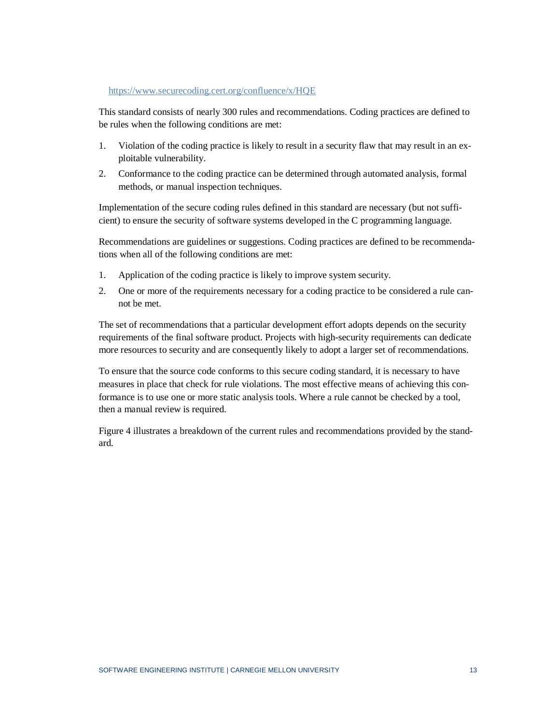#### <https://www.securecoding.cert.org/confluence/x/HQE>

This standard consists of nearly 300 rules and recommendations. Coding practices are defined to be rules when the following conditions are met:

- 1. Violation of the coding practice is likely to result in a [security flaw](https://www.securecoding.cert.org/confluence/display/seccode/BB.+Definitions%23BB.Definitions-securityflaw) that may result in an exploitable [vulnerability.](https://www.securecoding.cert.org/confluence/display/seccode/BB.+Definitions%23BB.Definitions-vulnerability)
- 2. Conformance to the coding practice can be determined through automated analysis, formal methods, or manual inspection techniques.

Implementation of the secure coding rules defined in this standard are necessary (but not sufficient) to ensure the security of software systems developed in the C programming language.

Recommendations are guidelines or suggestions. Coding practices are defined to be recommendations when all of the following conditions are met:

- 1. Application of the coding practice is likely to improve system security.
- 2. One or more of the requirements necessary for a coding practice to be considered a rule cannot be met.

The set of recommendations that a particular development effort adopts depends on the security requirements of the final software product. Projects with high-security requirements can dedicate more resources to security and are consequently likely to adopt a larger set of recommendations.

To ensure that the source code conforms to this secure coding standard, it is necessary to have measures in place that check for rule violations. The most effective means of achieving this conformance is to use one or more static analysis tools. Where a rule cannot be checked by a tool, then a manual review is required.

[Figure 4](#page-17-0) illustrates a breakdown of the current rules and recommendations provided by the standard.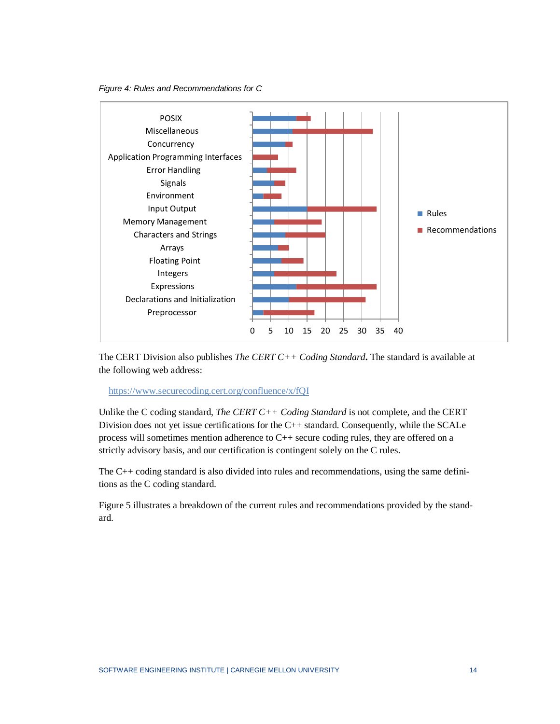<span id="page-17-0"></span>



The CERT Division also publishes *The CERT C++ Coding Standard***.** The standard is available at the following web address:

https://www.securecoding.cert.org/confluence/x/fQI

Unlike the C coding standard, *The CERT C++ Coding Standard* is not complete, and the CERT Division does not yet issue certifications for the C++ standard. Consequently, while the SCALe process will sometimes mention adherence to C++ secure coding rules, they are offered on a strictly advisory basis, and our certification is contingent solely on the C rules.

The C++ coding standard is also divided into rules and recommendations, using the same definitions as the C coding standard.

[Figure 5](#page-18-1) illustrates a breakdown of the current rules and recommendations provided by the standard.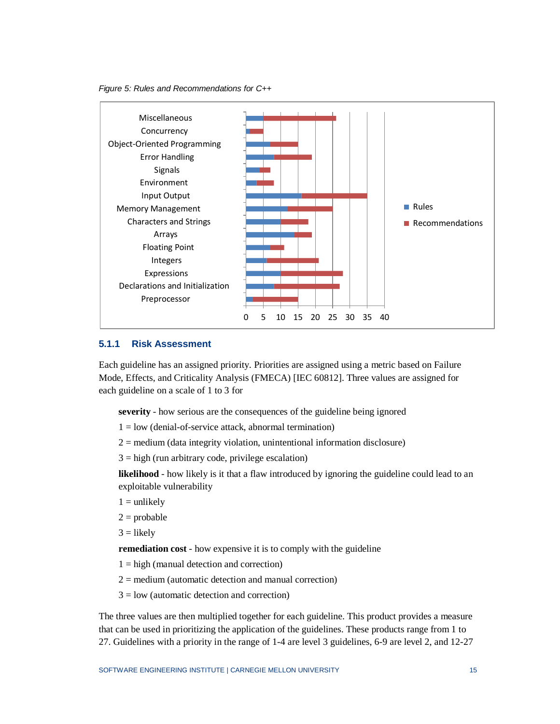<span id="page-18-1"></span>



#### <span id="page-18-0"></span>**5.1.1 Risk Assessment**

Each guideline has an assigned priority. Priorities are assigned using a metric based on Failure Mode, Effects, and Criticality Analysis (FMECA) [\[IEC 60812\]](https://www.securecoding.cert.org/confluence/display/seccode/AA.+Bibliography%23AA.Bibliography-IEC608122006). Three values are assigned for each guideline on a scale of 1 to 3 for

**severity** - how serious are the consequences of the guideline being ignored

- $1 =$ low (denial-of-service attack, abnormal termination)
- $2 =$  medium (data integrity violation, unintentional information disclosure)
- $3 =$ high (run arbitrary code, privilege escalation)

**likelihood** - how likely is it that a [flaw](https://www.securecoding.cert.org/confluence/display/java/BB.+Definitions%23BB.Definitions-securityflaw) introduced by ignoring the guideline could lead to an exploitable vulnerability

- $1 =$  unlikely
- $2 =$ probable

 $3 =$ likely

**remediation cost** - how expensive it is to comply with the guideline

- $1 = high$  (manual detection and correction)
- $2 =$  medium (automatic detection and manual correction)
- $3 =$ low (automatic detection and correction)

The three values are then multiplied together for each guideline. This product provides a measure that can be used in prioritizing the application of the guidelines. These products range from 1 to 27. Guidelines with a priority in the range of 1-4 are level 3 guidelines, 6-9 are level 2, and 12-27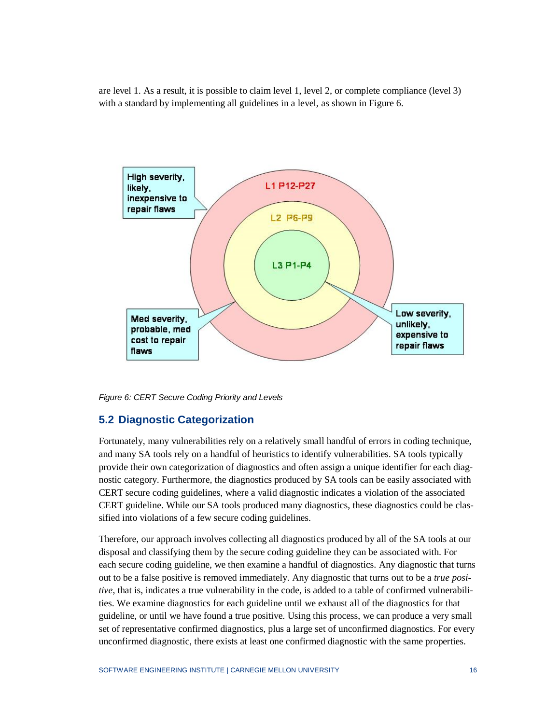are level 1. As a result, it is possible to claim level 1, level 2, or complete compliance (level 3) with a standard by implementing all guidelines in a level, as shown in [Figure 6.](#page-19-1)



<span id="page-19-1"></span><span id="page-19-0"></span>*Figure 6: CERT Secure Coding Priority and Levels*

#### **5.2 Diagnostic Categorization**

Fortunately, many vulnerabilities rely on a relatively small handful of errors in coding technique, and many SA tools rely on a handful of heuristics to identify vulnerabilities. SA tools typically provide their own categorization of diagnostics and often assign a unique identifier for each diagnostic category. Furthermore, the diagnostics produced by SA tools can be easily associated with CERT secure coding guidelines, where a valid diagnostic indicates a violation of the associated CERT guideline. While our SA tools produced many diagnostics, these diagnostics could be classified into violations of a few secure coding guidelines.

Therefore, our approach involves collecting all diagnostics produced by all of the SA tools at our disposal and classifying them by the secure coding guideline they can be associated with. For each secure coding guideline, we then examine a handful of diagnostics. Any diagnostic that turns out to be a false positive is removed immediately. Any diagnostic that turns out to be a *true positive*, that is, indicates a true vulnerability in the code, is added to a table of confirmed vulnerabilities. We examine diagnostics for each guideline until we exhaust all of the diagnostics for that guideline, or until we have found a true positive. Using this process, we can produce a very small set of representative confirmed diagnostics, plus a large set of unconfirmed diagnostics. For every unconfirmed diagnostic, there exists at least one confirmed diagnostic with the same properties.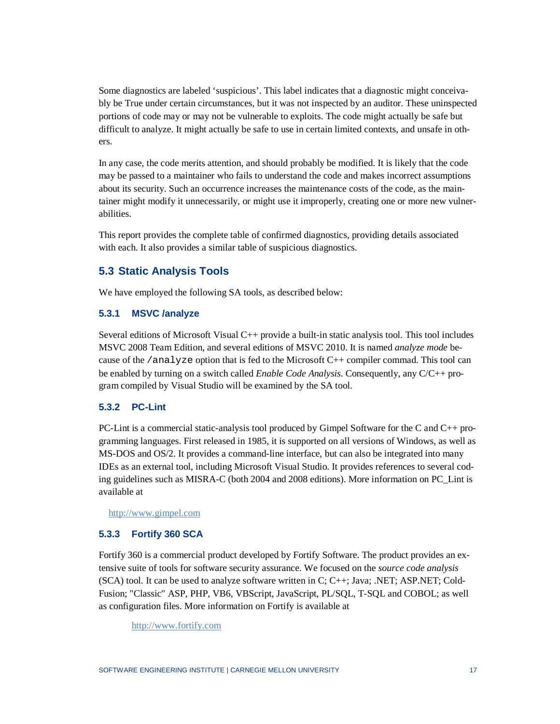Some diagnostics are labeled 'suspicious'. This label indicates that a diagnostic might conceivably be True under certain circumstances, but it was not inspected by an auditor. These uninspected portions of code may or may not be vulnerable to exploits. The code might actually be safe but difficult to analyze. It might actually be safe to use in certain limited contexts, and unsafe in others.

In any case, the code merits attention, and should probably be modified. It is likely that the code may be passed to a maintainer who fails to understand the code and makes incorrect assumptions about its security. Such an occurrence increases the maintenance costs of the code, as the maintainer might modify it unnecessarily, or might use it improperly, creating one or more new vulnerabilities.

This report provides the complete table of confirmed diagnostics, providing details associated with each. It also provides a similar table of suspicious diagnostics.

#### <span id="page-20-0"></span>**5.3 Static Analysis Tools**

We have employed the following SA tools, as described below:

#### <span id="page-20-1"></span>**5.3.1 MSVC /analyze**

Several editions of Microsoft Visual C++ provide a built-in static analysis tool. This tool includes MSVC 2008 Team Edition, and several editions of MSVC 2010. It is named *analyze mode* because of the /analyze option that is fed to the Microsoft  $C_{++}$  compiler commad. This tool can be enabled by turning on a switch called *Enable Code Analysis*. Consequently, any C/C++ program compiled by Visual Studio will be examined by the SA tool.

#### <span id="page-20-2"></span>**5.3.2 PC-Lint**

PC-Lint is a commercial static-analysis tool produced by Gimpel Software for the C and C++ programming languages. First released in 1985, it is supported on all versions of Windows, as well as MS-DOS and OS/2. It provides a command-line interface, but can also be integrated into many IDEs as an external tool, including Microsoft Visual Studio. It provides references to several coding guidelines such as MISRA-C (both 2004 and 2008 editions). More information on PC\_Lint is available at

[http://www.gimpel.com](http://www.gimpel.com/)

#### <span id="page-20-3"></span>**5.3.3 Fortify 360 SCA**

Fortify 360 is a commercial product developed by Fortify Software. The product provides an extensive suite of tools for software security assurance. We focused on the *source code analysis* (SCA) tool. It can be used to analyze software written in C; C++; Java; .NET; ASP.NET; Cold-Fusion; "Classic" ASP, PHP, VB6, VBScript, JavaScript, PL/SQL, T-SQL and COBOL; as well as configuration files. More information on Fortify is available at

[http://www.fortify.com](http://www.fortify.com/)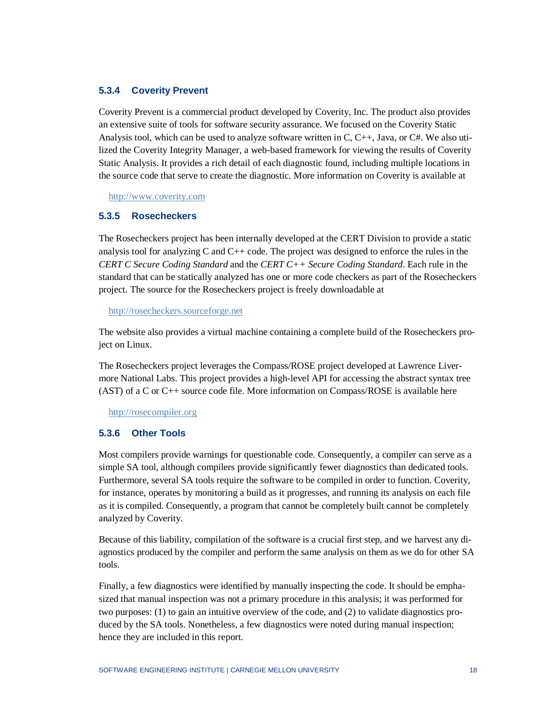#### <span id="page-21-0"></span>**5.3.4 Coverity Prevent**

Coverity Prevent is a commercial product developed by Coverity, Inc. The product also provides an extensive suite of tools for software security assurance. We focused on the Coverity Static Analysis tool, which can be used to analyze software written in  $C, C_{++}$ , Java, or  $C_{++}$ . We also utilized the Coverity Integrity Manager, a web-based framework for viewing the results of Coverity Static Analysis. It provides a rich detail of each diagnostic found, including multiple locations in the source code that serve to create the diagnostic. More information on Coverity is available at

[http://www.coverity.com](http://www.coverity.com/)

#### <span id="page-21-1"></span>**5.3.5 Rosecheckers**

The Rosecheckers project has been internally developed at the CERT Division to provide a static analysis tool for analyzing  $C$  and  $C++$  code. The project was designed to enforce the rules in the *CERT C Secure Coding Standard* and the *CERT C++ Secure Coding Standard*. Each rule in the standard that can be statically analyzed has one or more code checkers as part of the Rosecheckers project. The source for the Rosecheckers project is freely downloadable at

[http://rosecheckers.sourceforge.net](http://rosecheckers.sourceforge.netwww.coverity.com/)

The website also provides a virtual machine containing a complete build of the Rosecheckers project on Linux.

The Rosecheckers project leverages the Compass/ROSE project developed at Lawrence Livermore National Labs. This project provides a high-level API for accessing the abstract syntax tree (AST) of a C or C++ source code file. More information on Compass/ROSE is available here

[http://rosecompiler.org](http://rosecompiler.org/)

#### <span id="page-21-2"></span>**5.3.6 Other Tools**

Most compilers provide warnings for questionable code. Consequently, a compiler can serve as a simple SA tool, although compilers provide significantly fewer diagnostics than dedicated tools. Furthermore, several SA tools require the software to be compiled in order to function. Coverity, for instance, operates by monitoring a build as it progresses, and running its analysis on each file as it is compiled. Consequently, a program that cannot be completely built cannot be completely analyzed by Coverity.

Because of this liability, compilation of the software is a crucial first step, and we harvest any diagnostics produced by the compiler and perform the same analysis on them as we do for other SA tools.

Finally, a few diagnostics were identified by manually inspecting the code. It should be emphasized that manual inspection was not a primary procedure in this analysis; it was performed for two purposes: (1) to gain an intuitive overview of the code, and (2) to validate diagnostics produced by the SA tools. Nonetheless, a few diagnostics were noted during manual inspection; hence they are included in this report.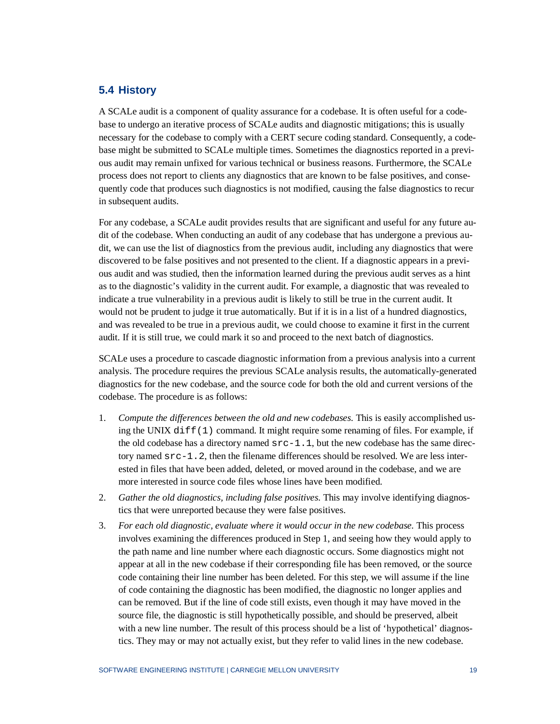#### <span id="page-22-0"></span>**5.4 History**

A SCALe audit is a component of quality assurance for a codebase. It is often useful for a codebase to undergo an iterative process of SCALe audits and diagnostic mitigations; this is usually necessary for the codebase to comply with a CERT secure coding standard. Consequently, a codebase might be submitted to SCALe multiple times. Sometimes the diagnostics reported in a previous audit may remain unfixed for various technical or business reasons. Furthermore, the SCALe process does not report to clients any diagnostics that are known to be false positives, and consequently code that produces such diagnostics is not modified, causing the false diagnostics to recur in subsequent audits.

For any codebase, a SCALe audit provides results that are significant and useful for any future audit of the codebase. When conducting an audit of any codebase that has undergone a previous audit, we can use the list of diagnostics from the previous audit, including any diagnostics that were discovered to be false positives and not presented to the client. If a diagnostic appears in a previous audit and was studied, then the information learned during the previous audit serves as a hint as to the diagnostic's validity in the current audit. For example, a diagnostic that was revealed to indicate a true vulnerability in a previous audit is likely to still be true in the current audit. It would not be prudent to judge it true automatically. But if it is in a list of a hundred diagnostics, and was revealed to be true in a previous audit, we could choose to examine it first in the current audit. If it is still true, we could mark it so and proceed to the next batch of diagnostics.

SCALe uses a procedure to cascade diagnostic information from a previous analysis into a current analysis. The procedure requires the previous SCALe analysis results, the automatically-generated diagnostics for the new codebase, and the source code for both the old and current versions of the codebase. The procedure is as follows:

- 1. *Compute the differences between the old and new codebases.* This is easily accomplished using the UNIX  $diff(1)$  command. It might require some renaming of files. For example, if the old codebase has a directory named  $src-1$ . 1, but the new codebase has the same directory named  $src-1$ . 2, then the filename differences should be resolved. We are less interested in files that have been added, deleted, or moved around in the codebase, and we are more interested in source code files whose lines have been modified.
- 2. *Gather the old diagnostics, including false positives.* This may involve identifying diagnostics that were unreported because they were false positives.
- 3. *For each old diagnostic, evaluate where it would occur in the new codebase.* This process involves examining the differences produced in Step 1, and seeing how they would apply to the path name and line number where each diagnostic occurs. Some diagnostics might not appear at all in the new codebase if their corresponding file has been removed, or the source code containing their line number has been deleted. For this step, we will assume if the line of code containing the diagnostic has been modified, the diagnostic no longer applies and can be removed. But if the line of code still exists, even though it may have moved in the source file, the diagnostic is still hypothetically possible, and should be preserved, albeit with a new line number. The result of this process should be a list of 'hypothetical' diagnostics. They may or may not actually exist, but they refer to valid lines in the new codebase.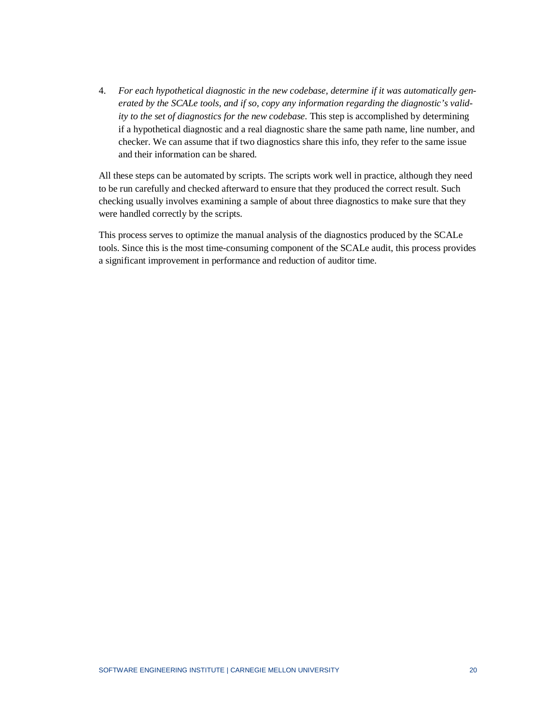4. *For each hypothetical diagnostic in the new codebase, determine if it was automatically generated by the SCALe tools, and if so, copy any information regarding the diagnostic's validity to the set of diagnostics for the new codebase.* This step is accomplished by determining if a hypothetical diagnostic and a real diagnostic share the same path name, line number, and checker. We can assume that if two diagnostics share this info, they refer to the same issue and their information can be shared.

All these steps can be automated by scripts. The scripts work well in practice, although they need to be run carefully and checked afterward to ensure that they produced the correct result. Such checking usually involves examining a sample of about three diagnostics to make sure that they were handled correctly by the scripts.

This process serves to optimize the manual analysis of the diagnostics produced by the SCALe tools. Since this is the most time-consuming component of the SCALe audit, this process provides a significant improvement in performance and reduction of auditor time.